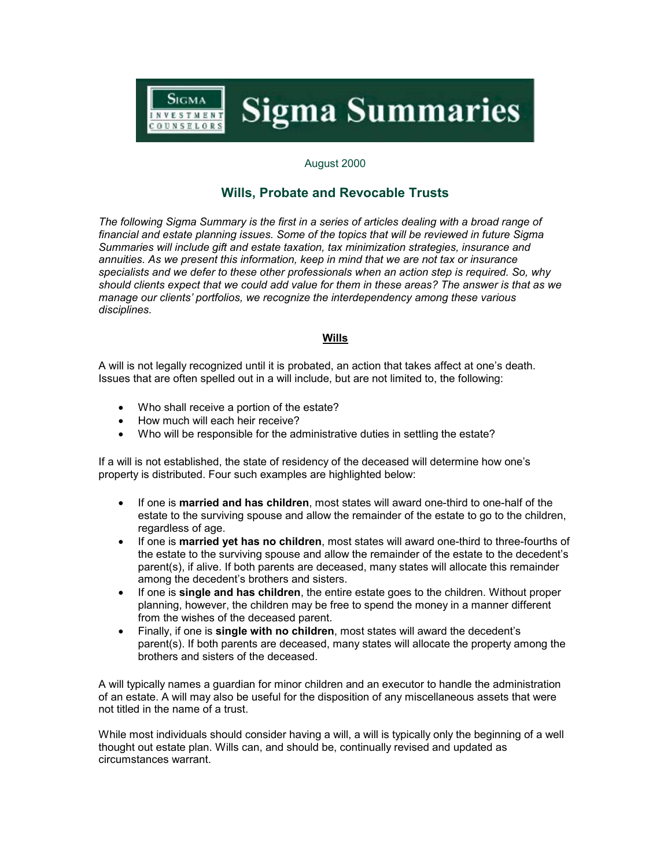

## August 2000

# **Wills, Probate and Revocable Trusts**

*The following Sigma Summary is the first in a series of articles dealing with a broad range of financial and estate planning issues. Some of the topics that will be reviewed in future Sigma Summaries will include gift and estate taxation, tax minimization strategies, insurance and annuities. As we present this information, keep in mind that we are not tax or insurance specialists and we defer to these other professionals when an action step is required. So, why should clients expect that we could add value for them in these areas? The answer is that as we manage our clients' portfolios, we recognize the interdependency among these various disciplines.*

## **Wills**

A will is not legally recognized until it is probated, an action that takes affect at one's death. Issues that are often spelled out in a will include, but are not limited to, the following:

- Who shall receive a portion of the estate?
- How much will each heir receive?
- -Who will be responsible for the administrative duties in settling the estate?

If a will is not established, the state of residency of the deceased will determine how one's property is distributed. Four such examples are highlighted below:

- If one is **married and has children**, most states will award one-third to one-half of the estate to the surviving spouse and allow the remainder of the estate to go to the children, regardless of age.
- - If one is **married yet has no children**, most states will award one-third to three-fourths of the estate to the surviving spouse and allow the remainder of the estate to the decedent's parent(s), if alive. If both parents are deceased, many states will allocate this remainder among the decedent's brothers and sisters.
- - If one is **single and has children**, the entire estate goes to the children. Without proper planning, however, the children may be free to spend the money in a manner different from the wishes of the deceased parent.
- - Finally, if one is **single with no children**, most states will award the decedent's parent(s). If both parents are deceased, many states will allocate the property among the brothers and sisters of the deceased.

A will typically names a guardian for minor children and an executor to handle the administration of an estate. A will may also be useful for the disposition of any miscellaneous assets that were not titled in the name of a trust.

While most individuals should consider having a will, a will is typically only the beginning of a well thought out estate plan. Wills can, and should be, continually revised and updated as circumstances warrant.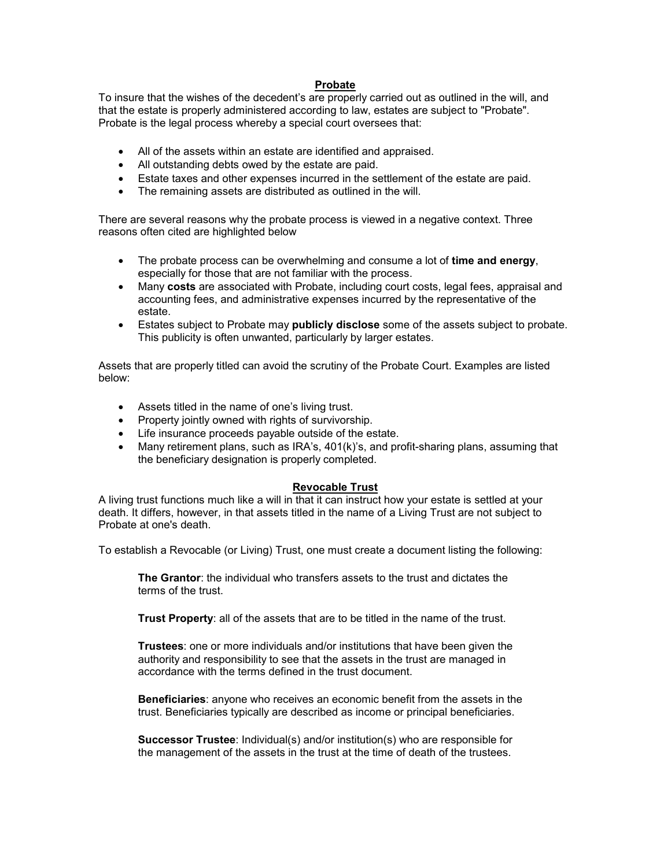## **Probate**

To insure that the wishes of the decedent's are properly carried out as outlined in the will, and that the estate is properly administered according to law, estates are subject to "Probate". Probate is the legal process whereby a special court oversees that:

- All of the assets within an estate are identified and appraised.
- All outstanding debts owed by the estate are paid.
- Estate taxes and other expenses incurred in the settlement of the estate are paid.
- The remaining assets are distributed as outlined in the will.

There are several reasons why the probate process is viewed in a negative context. Three reasons often cited are highlighted below

- The probate process can be overwhelming and consume a lot of **time and energy**, especially for those that are not familiar with the process.
- Many **costs** are associated with Probate, including court costs, legal fees, appraisal and accounting fees, and administrative expenses incurred by the representative of the estate.
- Estates subject to Probate may **publicly disclose** some of the assets subject to probate. This publicity is often unwanted, particularly by larger estates.

Assets that are properly titled can avoid the scrutiny of the Probate Court. Examples are listed below:

- Assets titled in the name of one's living trust.
- Property jointly owned with rights of survivorship.
- Life insurance proceeds payable outside of the estate.
- Many retirement plans, such as IRA's, 401(k)'s, and profit-sharing plans, assuming that the beneficiary designation is properly completed.

#### **Revocable Trust**

A living trust functions much like a will in that it can instruct how your estate is settled at your death. It differs, however, in that assets titled in the name of a Living Trust are not subject to Probate at one's death.

To establish a Revocable (or Living) Trust, one must create a document listing the following:

**The Grantor**: the individual who transfers assets to the trust and dictates the terms of the trust.

**Trust Property**: all of the assets that are to be titled in the name of the trust.

**Trustees**: one or more individuals and/or institutions that have been given the authority and responsibility to see that the assets in the trust are managed in accordance with the terms defined in the trust document.

**Beneficiaries**: anyone who receives an economic benefit from the assets in the trust. Beneficiaries typically are described as income or principal beneficiaries.

**Successor Trustee**: Individual(s) and/or institution(s) who are responsible for the management of the assets in the trust at the time of death of the trustees.